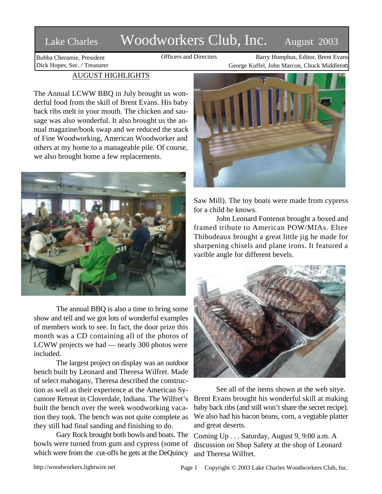# Lake Charles Woodworkers Club, Inc. August 2003

Bubba Cheramie, President Dick Hopes, Sec. / Treasurer

Officers and Directors Barry Humphus, Editor, Brent Evans George Kuffel, John Marcon, Chuck Middleton

# AUGUST HIGHLIGHTS

The Annual LCWW BBQ in July brought us wonderful food from the skill of Brent Evans. His baby back ribs melt in your mouth. The chicken and sausage was also wonderful. It also brought us the annual magazine/book swap and we reduced the stack of Fine Woodworking, American Woodworker and others at my home to a manageable pile. Of course, we also brought home a few replacements.



The annual BBQ is also a time to bring some show and tell and we got lots of wonderful examples of members work to see. In fact, the door prize this month was a CD containing all of the photos of LCWW projects we had — nearly 300 photos were included.

The largest project on display was an outdoor bench built by Leonard and Theresa Wilfret. Made of select mahogany, Theresa described the construction as well as their experience at the American Sycamore Retreat in Cloverdale, Indiana. The Wilfret's built the bench over the week woodworking vacation they took. The bench was not quite complete as they still had final sanding and finishing to do.

Gary Rock brought both bowls and boats. The bowls were turned from gum and cypress (some of which were from the cut-offs he gets at the DeQuincy



Saw Mill). The toy boats were made from cypress for a child he knows.

John Leonard Fontenot brought a boxed and framed tribute to American POW/MIAs. Eltee Thibodeaux brought a great little jig he made for sharpening chisels and plane irons. It featured a varible angle for different bevels.



See all of the items shown at the web sitye. Brent Evans brought his wonderful skill at making baby back ribs (and still won't share the secret recipe). We also had his bacon beans, corn, a vegtable platter and great deserts.

Coming Up . . . Saturday, August 9, 9:00 a.m. A discussion on Shop Safety at the shop of Leonard and Theresa Wilfret.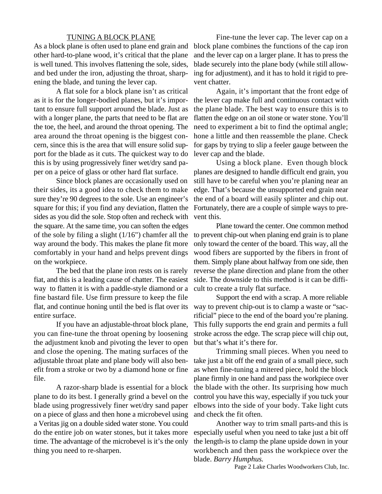## TUNING A BLOCK PLANE

As a block plane is often used to plane end grain and other hard-to-plane wood, it's critical that the plane is well tuned. This involves flattening the sole, sides, and bed under the iron, adjusting the throat, sharpening the blade, and tuning the lever cap.

A flat sole for a block plane isn't as critical as it is for the longer-bodied planes, but it's important to ensure full support around the blade. Just as with a longer plane, the parts that need to be flat are the toe, the heel, and around the throat opening. The area around the throat opening is the biggest concern, since this is the area that will ensure solid support for the blade as it cuts. The quickest way to do this is by using progressively finer wet/dry sand paper on a peice of glass or other hard flat surface.

Since block planes are occasionally used on their sides, its a good idea to check them to make sure they're 90 degrees to the sole. Use an engineer's square for this; if you find any deviation, flatten the sides as you did the sole. Stop often and recheck with the square. At the same time, you can soften the edges of the sole by filing a slight (1/16") chamfer all the way around the body. This makes the plane fit more comfortably in your hand and helps prevent dings on the workpiece.

The bed that the plane iron rests on is rarely fiat, and this is a leading cause of chatter. The easiest way to flatten it is with a paddle-style diamond or a fine bastard file. Use firm pressure to keep the file flat, and continue honing until the bed is flat over its entire surface.

If you have an adjustable-throat block plane, you can fine-tune the throat opening by loosening the adjustment knob and pivoting the lever to open and close the opening. The mating surfaces of the adjustable throat plate and plane body will also benefit from a stroke or two by a diamond hone or fine file.

A razor-sharp blade is essential for a block plane to do its best. I generally grind a bevel on the blade using progressively finer wet/dry sand paper on a piece of glass and then hone a microbevel using a Veritas jig on a double sided water stone. You could do the entire job on water stones, but it takes more time. The advantage of the microbevel is it's the only thing you need to re-sharpen.

Fine-tune the lever cap. The lever cap on a block plane combines the functions of the cap iron and the lever cap on a larger plane. It has to press the blade securely into the plane body (while still allowing for adjustment), and it has to hold it rigid to prevent chatter.

Again, it's important that the front edge of the lever cap make full and continuous contact with the plane blade. The best way to ensure this is to flatten the edge on an oil stone or water stone. You'll need to experiment a bit to find the optimal angle; hone a little and then reassemble the plane. Check for gaps by trying to slip a feeler gauge between the lever cap and the blade.

Using a block plane. Even though block planes are designed to handle difficult end grain, you still have to be careful when you're planing near an edge. That's because the unsupported end grain near the end of a board will easily splinter and chip out. Fortunately, there are a couple of simple ways to prevent this.

Plane toward the center. One common method to prevent chip-out when planing end grain is to plane only toward the center of the board. This way, all the wood fibers are supported by the fibers in front of them. Simply plane about halfway from one side, then reverse the plane direction and plane from the other side. The downside to this method is it can be difficult to create a truly flat surface.

Support the end with a scrap. A more reliable way to prevent chip-out is to clamp a waste or "sacrificial" piece to the end of the board you're planing. This fully supports the end grain and permits a full stroke across the edge. The scrap piece will chip out, but that's what it's there for.

Trimming small pieces. When you need to take just a bit off the end grain of a small piece, such as when fine-tuning a mitered piece, hold the block plane firmly in one hand and pass the workpiece over the blade with the other. Its surprising how much control you have this way, especially if you tuck your elbows into the side of your body. Take light cuts and check the fit often.

Another way to trim small parts-and this is especially useful when you need to take just a bit off the length-is to clamp the plane upside down in your workbench and then pass the workpiece over the blade. *Barry Humphus.*

Page 2 Lake Charles Woodworkers Club, Inc.